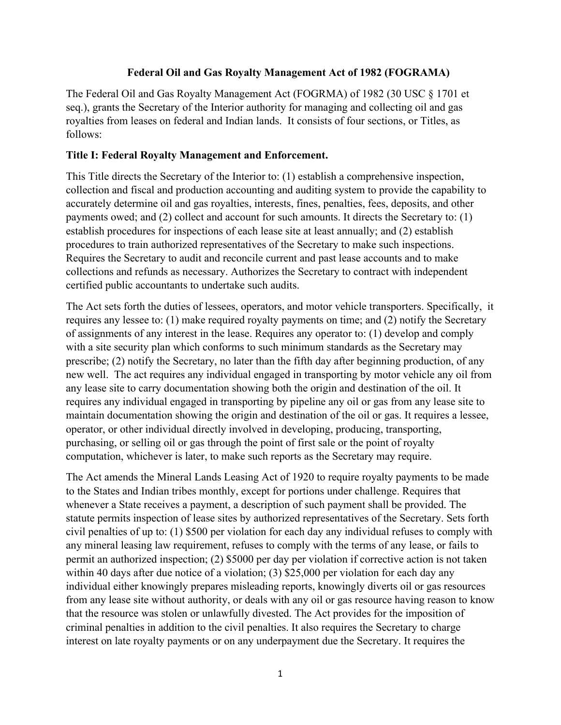### **Federal Oil and Gas Royalty Management Act of 1982 (FOGRAMA)**

The Federal Oil and Gas Royalty Management Act (FOGRMA) of 1982 (30 USC § 1701 et seq.), grants the Secretary of the Interior authority for managing and collecting oil and gas royalties from leases on federal and Indian lands. It consists of four sections, or Titles, as follows:

### **Title I: Federal Royalty Management and Enforcement.**

This Title directs the Secretary of the Interior to: (1) establish a comprehensive inspection, collection and fiscal and production accounting and auditing system to provide the capability to accurately determine oil and gas royalties, interests, fines, penalties, fees, deposits, and other payments owed; and (2) collect and account for such amounts. It directs the Secretary to: (1) establish procedures for inspections of each lease site at least annually; and (2) establish procedures to train authorized representatives of the Secretary to make such inspections. Requires the Secretary to audit and reconcile current and past lease accounts and to make collections and refunds as necessary. Authorizes the Secretary to contract with independent certified public accountants to undertake such audits.

The Act sets forth the duties of lessees, operators, and motor vehicle transporters. Specifically, it requires any lessee to: (1) make required royalty payments on time; and (2) notify the Secretary of assignments of any interest in the lease. Requires any operator to: (1) develop and comply with a site security plan which conforms to such minimum standards as the Secretary may prescribe; (2) notify the Secretary, no later than the fifth day after beginning production, of any new well. The act requires any individual engaged in transporting by motor vehicle any oil from any lease site to carry documentation showing both the origin and destination of the oil. It requires any individual engaged in transporting by pipeline any oil or gas from any lease site to maintain documentation showing the origin and destination of the oil or gas. It requires a lessee, operator, or other individual directly involved in developing, producing, transporting, purchasing, or selling oil or gas through the point of first sale or the point of royalty computation, whichever is later, to make such reports as the Secretary may require.

The Act amends the Mineral Lands Leasing Act of 1920 to require royalty payments to be made to the States and Indian tribes monthly, except for portions under challenge. Requires that whenever a State receives a payment, a description of such payment shall be provided. The statute permits inspection of lease sites by authorized representatives of the Secretary. Sets forth civil penalties of up to: (1) \$500 per violation for each day any individual refuses to comply with any mineral leasing law requirement, refuses to comply with the terms of any lease, or fails to permit an authorized inspection; (2) \$5000 per day per violation if corrective action is not taken within 40 days after due notice of a violation; (3) \$25,000 per violation for each day any individual either knowingly prepares misleading reports, knowingly diverts oil or gas resources from any lease site without authority, or deals with any oil or gas resource having reason to know that the resource was stolen or unlawfully divested. The Act provides for the imposition of criminal penalties in addition to the civil penalties. It also requires the Secretary to charge interest on late royalty payments or on any underpayment due the Secretary. It requires the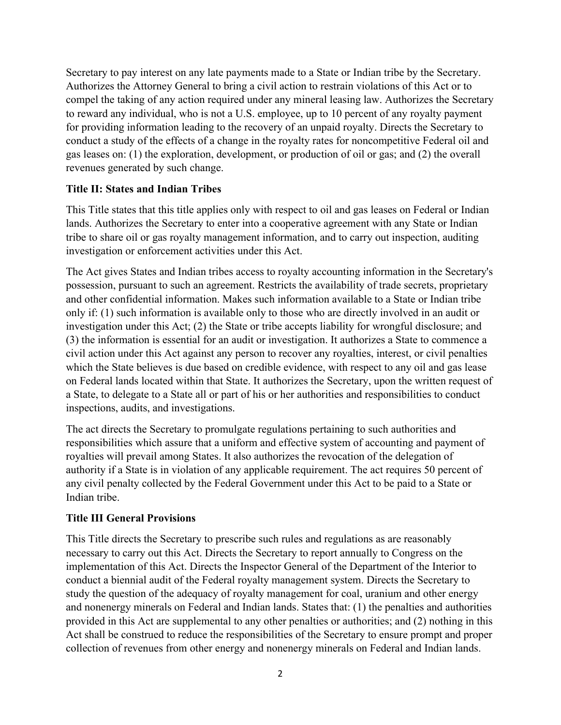Secretary to pay interest on any late payments made to a State or Indian tribe by the Secretary. Authorizes the Attorney General to bring a civil action to restrain violations of this Act or to compel the taking of any action required under any mineral leasing law. Authorizes the Secretary to reward any individual, who is not a U.S. employee, up to 10 percent of any royalty payment for providing information leading to the recovery of an unpaid royalty. Directs the Secretary to conduct a study of the effects of a change in the royalty rates for noncompetitive Federal oil and gas leases on: (1) the exploration, development, or production of oil or gas; and (2) the overall revenues generated by such change.

# **Title II: States and Indian Tribes**

This Title states that this title applies only with respect to oil and gas leases on Federal or Indian lands. Authorizes the Secretary to enter into a cooperative agreement with any State or Indian tribe to share oil or gas royalty management information, and to carry out inspection, auditing investigation or enforcement activities under this Act.

The Act gives States and Indian tribes access to royalty accounting information in the Secretary's possession, pursuant to such an agreement. Restricts the availability of trade secrets, proprietary and other confidential information. Makes such information available to a State or Indian tribe only if: (1) such information is available only to those who are directly involved in an audit or investigation under this Act; (2) the State or tribe accepts liability for wrongful disclosure; and (3) the information is essential for an audit or investigation. It authorizes a State to commence a civil action under this Act against any person to recover any royalties, interest, or civil penalties which the State believes is due based on credible evidence, with respect to any oil and gas lease on Federal lands located within that State. It authorizes the Secretary, upon the written request of a State, to delegate to a State all or part of his or her authorities and responsibilities to conduct inspections, audits, and investigations.

The act directs the Secretary to promulgate regulations pertaining to such authorities and responsibilities which assure that a uniform and effective system of accounting and payment of royalties will prevail among States. It also authorizes the revocation of the delegation of authority if a State is in violation of any applicable requirement. The act requires 50 percent of any civil penalty collected by the Federal Government under this Act to be paid to a State or Indian tribe.

## **Title III General Provisions**

This Title directs the Secretary to prescribe such rules and regulations as are reasonably necessary to carry out this Act. Directs the Secretary to report annually to Congress on the implementation of this Act. Directs the Inspector General of the Department of the Interior to conduct a biennial audit of the Federal royalty management system. Directs the Secretary to study the question of the adequacy of royalty management for coal, uranium and other energy and nonenergy minerals on Federal and Indian lands. States that: (1) the penalties and authorities provided in this Act are supplemental to any other penalties or authorities; and (2) nothing in this Act shall be construed to reduce the responsibilities of the Secretary to ensure prompt and proper collection of revenues from other energy and nonenergy minerals on Federal and Indian lands.